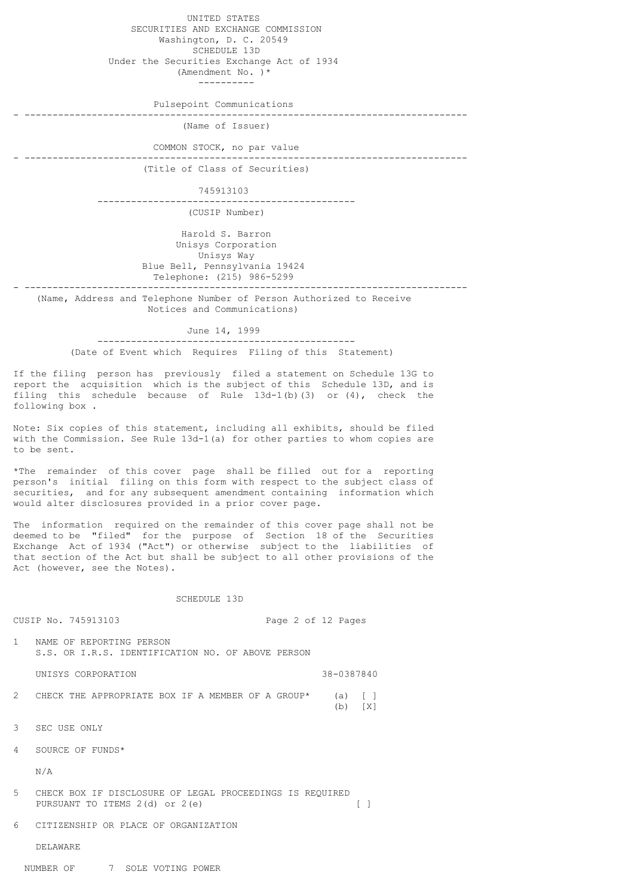UNITED STATES SECURITIES AND EXCHANGE COMMISSION Washington, D. C. 20549 SCHEDULE 13D Under the Securities Exchange Act of 1934

 (Amendment No. )\* ----------

Pulsepoint Communications

- -------------------------------------------------------------------------------

- -------------------------------------------------------------------------------

(Name of Issuer)

COMMON STOCK, no par value

- -------------------------------------------------------------------------------

(Title of Class of Securities)

745913103

 ---------------------------------------------- (CUSIP Number)

 Harold S. Barron Unisys Corporation Unisys Way Blue Bell, Pennsylvania 19424 Telephone: (215) 986-5299

 (Name, Address and Telephone Number of Person Authorized to Receive Notices and Communications)

## June 14, 1999

 ---------------------------------------------- (Date of Event which Requires Filing of this Statement)

If the filing person has previously filed a statement on Schedule 13G to report the acquisition which is the subject of this Schedule 13D, and is filing this schedule because of Rule 13d-1(b)(3) or (4), check the following box .

Note: Six copies of this statement, including all exhibits, should be filed with the Commission. See Rule 13d-1(a) for other parties to whom copies are to be sent.

\*The remainder of this cover page shall be filled out for a reporting person's initial filing on this form with respect to the subject class of securities, and for any subsequent amendment containing information which would alter disclosures provided in a prior cover page.

The information required on the remainder of this cover page shall not be deemed to be "filed" for the purpose of Section 18 of the Securities Exchange Act of 1934 ("Act") or otherwise subject to the liabilities of that section of the Act but shall be subject to all other provisions of the Act (however, see the Notes).

#### SCHEDULE 13D

| CUSIP No. 745913103<br>Page 2 of 12 Pages |                                                                                            |  |            |               |
|-------------------------------------------|--------------------------------------------------------------------------------------------|--|------------|---------------|
| $\mathbf{1}$                              | NAME OF REPORTING PERSON<br>S.S. OR I.R.S. IDENTIFICATION NO. OF ABOVE PERSON              |  |            |               |
|                                           | UNISYS CORPORATION                                                                         |  | 38-0387840 |               |
| $\overline{2}$                            | CHECK THE APPROPRIATE BOX IF A MEMBER OF A GROUP*                                          |  | (a)<br>(b) | $\Box$<br>[X] |
| 3                                         | SEC USE ONLY                                                                               |  |            |               |
| 4                                         | SOURCE OF FUNDS*                                                                           |  |            |               |
|                                           | N/A                                                                                        |  |            |               |
| 5                                         | CHECK BOX IF DISCLOSURE OF LEGAL PROCEEDINGS IS REOUIRED<br>PURSUANT TO ITEMS 2(d) or 2(e) |  |            |               |

6 CITIZENSHIP OR PLACE OF ORGANIZATION

DELAWARE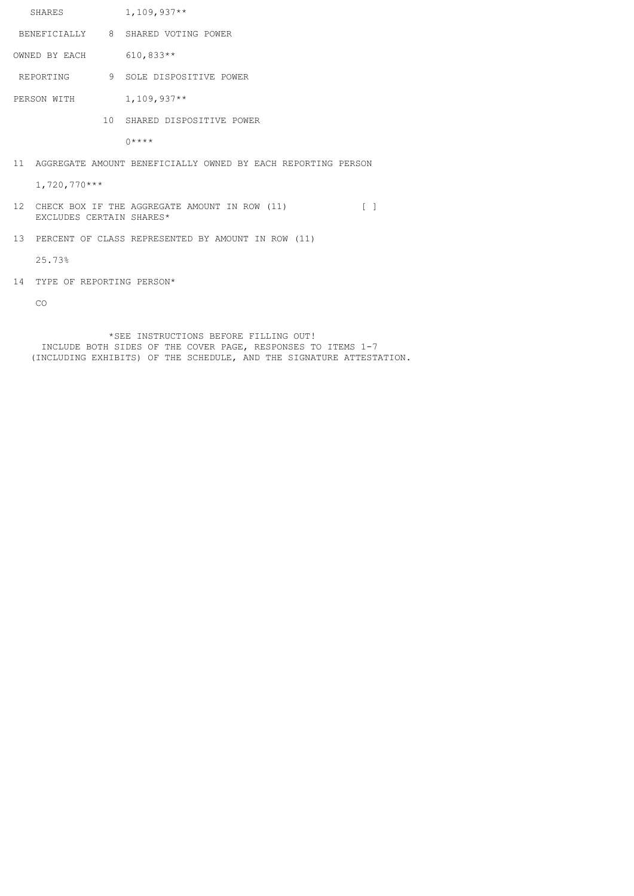|                                                                                                                                  | SHARES                       |  | $1,109,937**$                                                   |  |  |
|----------------------------------------------------------------------------------------------------------------------------------|------------------------------|--|-----------------------------------------------------------------|--|--|
|                                                                                                                                  |                              |  | BENEFICIALLY 8 SHARED VOTING POWER                              |  |  |
| OWNED BY EACH                                                                                                                    |                              |  | $610,833**$                                                     |  |  |
|                                                                                                                                  |                              |  | REPORTING 9 SOLE DISPOSITIVE POWER                              |  |  |
| PERSON WITH                                                                                                                      |                              |  | $1,109,937**$                                                   |  |  |
|                                                                                                                                  |                              |  | 10 SHARED DISPOSITIVE POWER                                     |  |  |
|                                                                                                                                  |                              |  | $0***$                                                          |  |  |
|                                                                                                                                  |                              |  | 11 AGGREGATE AMOUNT BENEFICIALLY OWNED BY EACH REPORTING PERSON |  |  |
|                                                                                                                                  | $1,720,770***$               |  |                                                                 |  |  |
| 12 <sup>°</sup><br>CHECK BOX IF THE AGGREGATE AMOUNT IN ROW (11)<br>$\begin{array}{ccc} \end{array}$<br>EXCLUDES CERTAIN SHARES* |                              |  |                                                                 |  |  |
| 13 <sup>°</sup>                                                                                                                  |                              |  | PERCENT OF CLASS REPRESENTED BY AMOUNT IN ROW (11)              |  |  |
|                                                                                                                                  | 25.73%                       |  |                                                                 |  |  |
|                                                                                                                                  | 14 TYPE OF REPORTING PERSON* |  |                                                                 |  |  |
|                                                                                                                                  | CO                           |  |                                                                 |  |  |
|                                                                                                                                  |                              |  |                                                                 |  |  |

 \*SEE INSTRUCTIONS BEFORE FILLING OUT! INCLUDE BOTH SIDES OF THE COVER PAGE, RESPONSES TO ITEMS 1-7 (INCLUDING EXHIBITS) OF THE SCHEDULE, AND THE SIGNATURE ATTESTATION.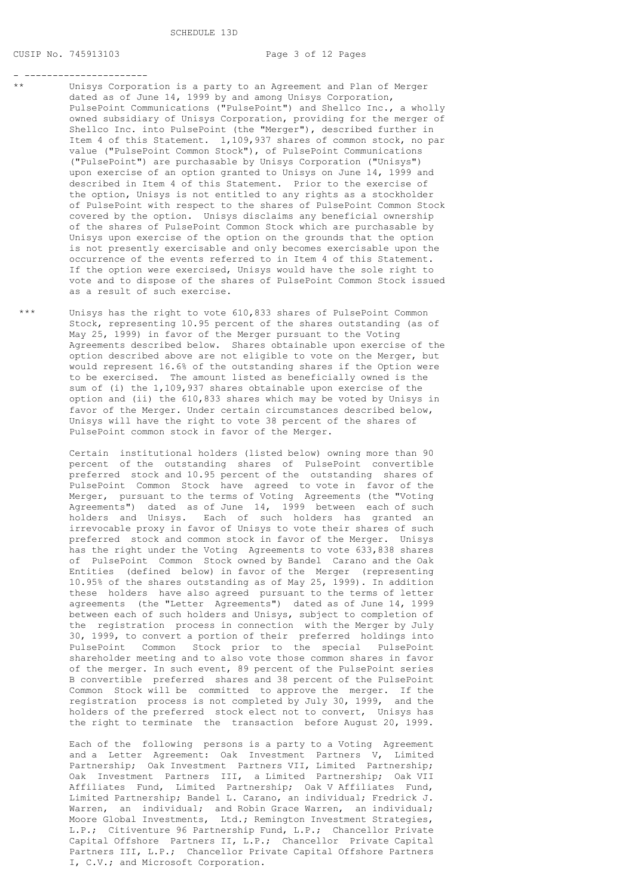SCHEDULE 13D

## CUSIP No. 745913103 Page 3 of 12 Pages

#### - ----------------------

- Unisys Corporation is a party to an Agreement and Plan of Merger dated as of June 14, 1999 by and among Unisys Corporation, PulsePoint Communications ("PulsePoint") and Shellco Inc., a wholly owned subsidiary of Unisys Corporation, providing for the merger of Shellco Inc. into PulsePoint (the "Merger"), described further in Item 4 of this Statement. 1,109,937 shares of common stock, no par value ("PulsePoint Common Stock"), of PulsePoint Communications ("PulsePoint") are purchasable by Unisys Corporation ("Unisys") upon exercise of an option granted to Unisys on June 14, 1999 and described in Item 4 of this Statement. Prior to the exercise of the option, Unisys is not entitled to any rights as a stockholder of PulsePoint with respect to the shares of PulsePoint Common Stock covered by the option. Unisys disclaims any beneficial ownership of the shares of PulsePoint Common Stock which are purchasable by Unisys upon exercise of the option on the grounds that the option is not presently exercisable and only becomes exercisable upon the occurrence of the events referred to in Item 4 of this Statement. If the option were exercised, Unisys would have the sole right to vote and to dispose of the shares of PulsePoint Common Stock issued as a result of such exercise.
- \*\*\* Unisys has the right to vote 610,833 shares of PulsePoint Common Stock, representing 10.95 percent of the shares outstanding (as of May 25, 1999) in favor of the Merger pursuant to the Voting Agreements described below. Shares obtainable upon exercise of the option described above are not eligible to vote on the Merger, but would represent 16.6% of the outstanding shares if the Option were to be exercised. The amount listed as beneficially owned is the sum of (i) the 1,109,937 shares obtainable upon exercise of the option and (ii) the 610,833 shares which may be voted by Unisys in favor of the Merger. Under certain circumstances described below, Unisys will have the right to vote 38 percent of the shares of PulsePoint common stock in favor of the Merger.
	- Certain institutional holders (listed below) owning more than 90 percent of the outstanding shares of PulsePoint convertible preferred stock and 10.95 percent of the outstanding shares of PulsePoint Common Stock have agreed to vote in favor of the Merger, pursuant to the terms of Voting Agreements (the "Voting Agreements") dated as of June 14, 1999 between each of such holders and Unisys. Each of such holders has granted an irrevocable proxy in favor of Unisys to vote their shares of such preferred stock and common stock in favor of the Merger. Unisys has the right under the Voting Agreements to vote 633,838 shares of PulsePoint Common Stock owned by Bandel Carano and the Oak Entities (defined below) in favor of the Merger (representing 10.95% of the shares outstanding as of May 25, 1999). In addition these holders have also agreed pursuant to the terms of letter agreements (the "Letter Agreements") dated as of June 14, 1999 between each of such holders and Unisys, subject to completion of the registration process in connection with the Merger by July 30, 1999, to convert a portion of their preferred holdings into PulsePoint Common Stock prior to the special PulsePoint shareholder meeting and to also vote those common shares in favor of the merger. In such event, 89 percent of the PulsePoint series B convertible preferred shares and 38 percent of the PulsePoint Common Stock will be committed to approve the merger. If the registration process is not completed by July 30, 1999, and the holders of the preferred stock elect not to convert, Unisys has the right to terminate the transaction before August 20, 1999.

 Each of the following persons is a party to a Voting Agreement and a Letter Agreement: Oak Investment Partners V, Limited Partnership; Oak Investment Partners VII, Limited Partnership; Oak Investment Partners III, a Limited Partnership; Oak VII Affiliates Fund, Limited Partnership; Oak V Affiliates Fund, Limited Partnership; Bandel L. Carano, an individual; Fredrick J. Warren, an individual; and Robin Grace Warren, an individual; Moore Global Investments, Ltd.; Remington Investment Strategies, L.P.; Citiventure 96 Partnership Fund, L.P.; Chancellor Private Capital Offshore Partners II, L.P.; Chancellor Private Capital Partners III, L.P.; Chancellor Private Capital Offshore Partners I, C.V.; and Microsoft Corporation.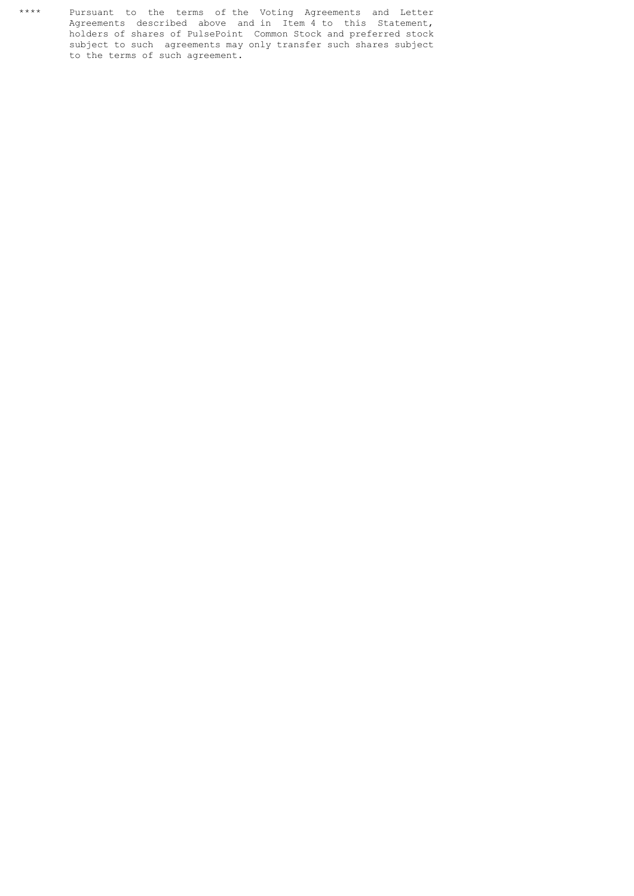\*\*\*\* Pursuant to the terms of the Voting Agreements and Letter Agreements described above and in Item 4 to this Statement, holders of shares of PulsePoint Common Stock and preferred stock subject to such agreements may only transfer such shares subject to the terms of such agreement.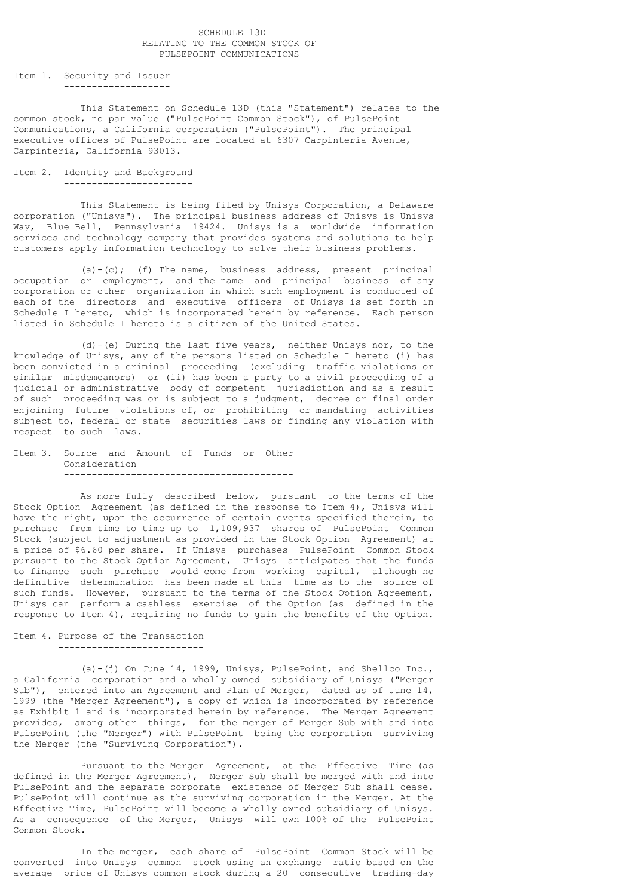#### SCHEDULE 13D RELATING TO THE COMMON STOCK OF PULSEPOINT COMMUNICATIONS

Item 1. Security and Issuer -------------------

 This Statement on Schedule 13D (this "Statement") relates to the common stock, no par value ("PulsePoint Common Stock"), of PulsePoint Communications, a California corporation ("PulsePoint"). The principal executive offices of PulsePoint are located at 6307 Carpinteria Avenue, Carpinteria, California 93013.

## Item 2. Identity and Background -----------------------

 This Statement is being filed by Unisys Corporation, a Delaware corporation ("Unisys"). The principal business address of Unisys is Unisys Way, Blue Bell, Pennsylvania 19424. Unisys is a worldwide information services and technology company that provides systems and solutions to help customers apply information technology to solve their business problems.

 (a)-(c); (f) The name, business address, present principal occupation or employment, and the name and principal business of any corporation or other organization in which such employment is conducted of each of the directors and executive officers of Unisys is set forth in Schedule I hereto, which is incorporated herein by reference. Each person listed in Schedule I hereto is a citizen of the United States.

 (d)-(e) During the last five years, neither Unisys nor, to the knowledge of Unisys, any of the persons listed on Schedule I hereto (i) has been convicted in a criminal proceeding (excluding traffic violations or similar misdemeanors) or (ii) has been a party to a civil proceeding of a judicial or administrative body of competent jurisdiction and as a result of such proceeding was or is subject to a judgment, decree or final order enjoining future violations of, or prohibiting or mandating activities subject to, federal or state securities laws or finding any violation with respect to such laws.

#### Item 3. Source and Amount of Funds or Other Consideration -----------------------------------------

 As more fully described below, pursuant to the terms of the Stock Option Agreement (as defined in the response to Item 4), Unisys will have the right, upon the occurrence of certain events specified therein, to purchase from time to time up to 1,109,937 shares of PulsePoint Common Stock (subject to adjustment as provided in the Stock Option Agreement) at a price of \$6.60 per share. If Unisys purchases PulsePoint Common Stock pursuant to the Stock Option Agreement, Unisys anticipates that the funds to finance such purchase would come from working capital, although no definitive determination has been made at this time as to the source of such funds. However, pursuant to the terms of the Stock Option Agreement, Unisys can perform a cashless exercise of the Option (as defined in the response to Item 4), requiring no funds to gain the benefits of the Option.

#### Item 4. Purpose of the Transaction --------------------------

 (a)-(j) On June 14, 1999, Unisys, PulsePoint, and Shellco Inc., a California corporation and a wholly owned subsidiary of Unisys ("Merger Sub"), entered into an Agreement and Plan of Merger, dated as of June 14, 1999 (the "Merger Agreement"), a copy of which is incorporated by reference as Exhibit 1 and is incorporated herein by reference. The Merger Agreement provides, among other things, for the merger of Merger Sub with and into PulsePoint (the "Merger") with PulsePoint being the corporation surviving the Merger (the "Surviving Corporation").

 Pursuant to the Merger Agreement, at the Effective Time (as defined in the Merger Agreement), Merger Sub shall be merged with and into PulsePoint and the separate corporate existence of Merger Sub shall cease. PulsePoint will continue as the surviving corporation in the Merger. At the Effective Time, PulsePoint will become a wholly owned subsidiary of Unisys. As a consequence of the Merger, Unisys will own 100% of the PulsePoint Common Stock.

 In the merger, each share of PulsePoint Common Stock will be converted into Unisys common stock using an exchange ratio based on the average price of Unisys common stock during a 20 consecutive trading-day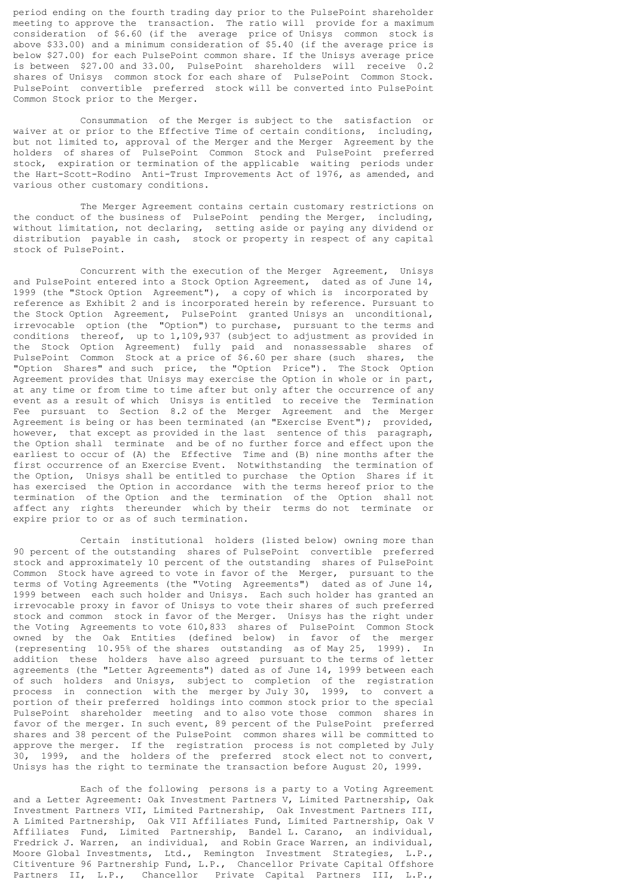period ending on the fourth trading day prior to the PulsePoint shareholder meeting to approve the transaction. The ratio will provide for a maximum consideration of \$6.60 (if the average price of Unisys common stock is above \$33.00) and a minimum consideration of \$5.40 (if the average price is below \$27.00) for each PulsePoint common share. If the Unisys average price is between \$27.00 and 33.00, PulsePoint shareholders will receive 0.2 shares of Unisys common stock for each share of PulsePoint Common Stock. PulsePoint convertible preferred stock will be converted into PulsePoint Common Stock prior to the Merger.

 Consummation of the Merger is subject to the satisfaction or waiver at or prior to the Effective Time of certain conditions, including, but not limited to, approval of the Merger and the Merger Agreement by the holders of shares of PulsePoint Common Stock and PulsePoint preferred stock, expiration or termination of the applicable waiting periods under the Hart-Scott-Rodino Anti-Trust Improvements Act of 1976, as amended, and various other customary conditions.

 The Merger Agreement contains certain customary restrictions on the conduct of the business of PulsePoint pending the Merger, including, without limitation, not declaring, setting aside or paying any dividend or distribution payable in cash, stock or property in respect of any capital stock of PulsePoint.

 Concurrent with the execution of the Merger Agreement, Unisys and PulsePoint entered into a Stock Option Agreement, dated as of June 14, 1999 (the "Stock Option Agreement"), a copy of which is incorporated by reference as Exhibit 2 and is incorporated herein by reference. Pursuant to the Stock Option Agreement, PulsePoint granted Unisys an unconditional, irrevocable option (the "Option") to purchase, pursuant to the terms and conditions thereof, up to 1,109,937 (subject to adjustment as provided in the Stock Option Agreement) fully paid and nonassessable shares of PulsePoint Common Stock at a price of \$6.60 per share (such shares, the "Option Shares" and such price, the "Option Price"). The Stock Option Agreement provides that Unisys may exercise the Option in whole or in part, at any time or from time to time after but only after the occurrence of any event as a result of which Unisys is entitled to receive the Termination Fee pursuant to Section 8.2 of the Merger Agreement and the Merger Agreement is being or has been terminated (an "Exercise Event"); provided, however, that except as provided in the last sentence of this paragraph, the Option shall terminate and be of no further force and effect upon the earliest to occur of (A) the Effective Time and (B) nine months after the first occurrence of an Exercise Event. Notwithstanding the termination of the Option, Unisys shall be entitled to purchase the Option Shares if it has exercised the Option in accordance with the terms hereof prior to the termination of the Option and the termination of the Option shall not affect any rights thereunder which by their terms do not terminate or expire prior to or as of such termination.

 Certain institutional holders (listed below) owning more than 90 percent of the outstanding shares of PulsePoint convertible preferred stock and approximately 10 percent of the outstanding shares of PulsePoint Common Stock have agreed to vote in favor of the Merger, pursuant to the terms of Voting Agreements (the "Voting Agreements") dated as of June 14, 1999 between each such holder and Unisys. Each such holder has granted an irrevocable proxy in favor of Unisys to vote their shares of such preferred stock and common stock in favor of the Merger. Unisys has the right under the Voting Agreements to vote 610,833 shares of PulsePoint Common Stock owned by the Oak Entities (defined below) in favor of the merger (representing 10.95% of the shares outstanding as of May 25, 1999). In addition these holders have also agreed pursuant to the terms of letter agreements (the "Letter Agreements") dated as of June 14, 1999 between each of such holders and Unisys, subject to completion of the registration process in connection with the merger by July 30, 1999, to convert a portion of their preferred holdings into common stock prior to the special PulsePoint shareholder meeting and to also vote those common shares in favor of the merger. In such event, 89 percent of the PulsePoint preferred shares and 38 percent of the PulsePoint common shares will be committed to approve the merger. If the registration process is not completed by July 30, 1999, and the holders of the preferred stock elect not to convert, Unisys has the right to terminate the transaction before August 20, 1999.

 Each of the following persons is a party to a Voting Agreement and a Letter Agreement: Oak Investment Partners V, Limited Partnership, Oak Investment Partners VII, Limited Partnership, Oak Investment Partners III, A Limited Partnership, Oak VII Affiliates Fund, Limited Partnership, Oak V Affiliates Fund, Limited Partnership, Bandel L. Carano, an individual, Fredrick J. Warren, an individual, and Robin Grace Warren, an individual, Moore Global Investments, Ltd., Remington Investment Strategies, L.P., Citiventure 96 Partnership Fund, L.P., Chancellor Private Capital Offshore Partners II, L.P., Chancellor Private Capital Partners III, L.P.,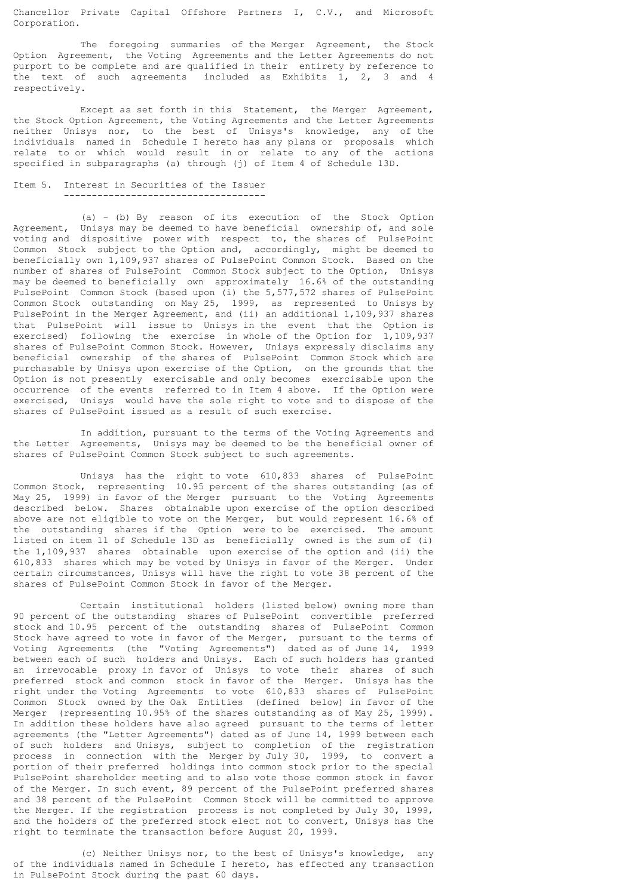Chancellor Private Capital Offshore Partners I, C.V., and Microsoft Corporation.

 The foregoing summaries of the Merger Agreement, the Stock Option Agreement, the Voting Agreements and the Letter Agreements do not purport to be complete and are qualified in their entirety by reference to the text of such agreements included as Exhibits 1, 2, 3 and 4 respectively.

 Except as set forth in this Statement, the Merger Agreement, the Stock Option Agreement, the Voting Agreements and the Letter Agreements neither Unisys nor, to the best of Unisys's knowledge, any of the individuals named in Schedule I hereto has any plans or proposals which relate to or which would result in or relate to any of the actions specified in subparagraphs (a) through (j) of Item 4 of Schedule 13D.

# Item 5. Interest in Securities of the Issuer

------------------------------------

 (a) - (b) By reason of its execution of the Stock Option Agreement, Unisys may be deemed to have beneficial ownership of, and sole voting and dispositive power with respect to, the shares of PulsePoint Common Stock subject to the Option and, accordingly, might be deemed to beneficially own 1,109,937 shares of PulsePoint Common Stock. Based on the number of shares of PulsePoint Common Stock subject to the Option, Unisys may be deemed to beneficially own approximately 16.6% of the outstanding PulsePoint Common Stock (based upon (i) the 5,577,572 shares of PulsePoint Common Stock outstanding on May 25, 1999, as represented to Unisys by PulsePoint in the Merger Agreement, and (ii) an additional 1,109,937 shares that PulsePoint will issue to Unisys in the event that the Option is exercised) following the exercise in whole of the Option for 1,109,937 shares of PulsePoint Common Stock. However, Unisys expressly disclaims any beneficial ownership of the shares of PulsePoint Common Stock which are purchasable by Unisys upon exercise of the Option, on the grounds that the Option is not presently exercisable and only becomes exercisable upon the occurrence of the events referred to in Item 4 above. If the Option were exercised, Unisys would have the sole right to vote and to dispose of the shares of PulsePoint issued as a result of such exercise.

 In addition, pursuant to the terms of the Voting Agreements and the Letter Agreements, Unisys may be deemed to be the beneficial owner of shares of PulsePoint Common Stock subject to such agreements.

 Unisys has the right to vote 610,833 shares of PulsePoint Common Stock, representing 10.95 percent of the shares outstanding (as of May 25, 1999) in favor of the Merger pursuant to the Voting Agreements described below. Shares obtainable upon exercise of the option described above are not eligible to vote on the Merger, but would represent 16.6% of the outstanding shares if the Option were to be exercised. The amount listed on item 11 of Schedule 13D as beneficially owned is the sum of (i) the 1,109,937 shares obtainable upon exercise of the option and (ii) the 610,833 shares which may be voted by Unisys in favor of the Merger. Under certain circumstances, Unisys will have the right to vote 38 percent of the shares of PulsePoint Common Stock in favor of the Merger.

 Certain institutional holders (listed below) owning more than 90 percent of the outstanding shares of PulsePoint convertible preferred stock and 10.95 percent of the outstanding shares of PulsePoint Common Stock have agreed to vote in favor of the Merger, pursuant to the terms of Voting Agreements (the "Voting Agreements") dated as of June 14, 1999 between each of such holders and Unisys. Each of such holders has granted an irrevocable proxy in favor of Unisys to vote their shares of such preferred stock and common stock in favor of the Merger. Unisys has the right under the Voting Agreements to vote 610,833 shares of PulsePoint Common Stock owned by the Oak Entities (defined below) in favor of the Merger (representing 10.95% of the shares outstanding as of May 25, 1999). In addition these holders have also agreed pursuant to the terms of letter agreements (the "Letter Agreements") dated as of June 14, 1999 between each of such holders and Unisys, subject to completion of the registration process in connection with the Merger by July 30, 1999, to convert a portion of their preferred holdings into common stock prior to the special PulsePoint shareholder meeting and to also vote those common stock in favor of the Merger. In such event, 89 percent of the PulsePoint preferred shares and 38 percent of the PulsePoint Common Stock will be committed to approve the Merger. If the registration process is not completed by July 30, 1999, and the holders of the preferred stock elect not to convert, Unisys has the right to terminate the transaction before August 20, 1999.

 (c) Neither Unisys nor, to the best of Unisys's knowledge, any of the individuals named in Schedule I hereto, has effected any transaction in PulsePoint Stock during the past 60 days.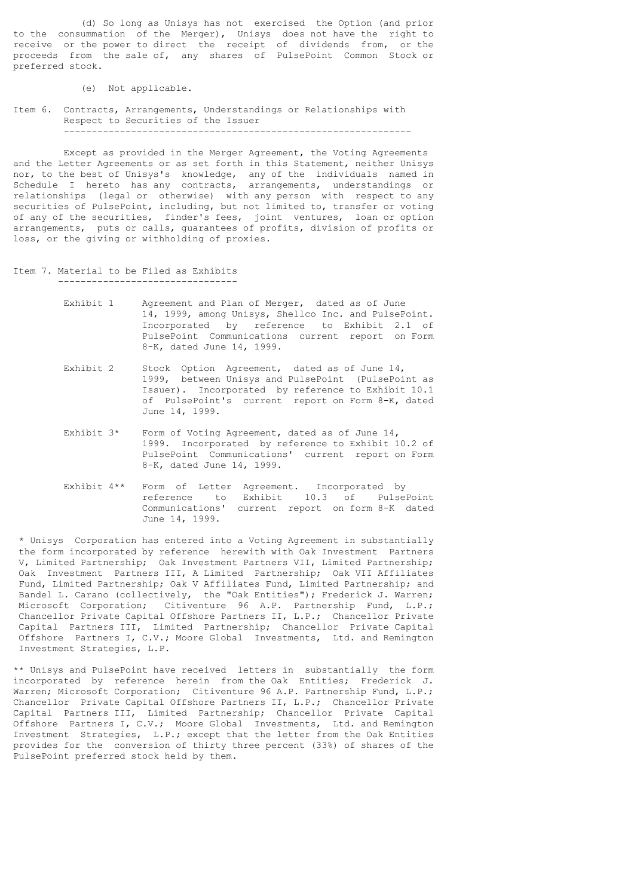(d) So long as Unisys has not exercised the Option (and prior to the consummation of the Merger), Unisys does not have the right to receive or the power to direct the receipt of dividends from, or the proceeds from the sale of, any shares of PulsePoint Common Stock or preferred stock.

- (e) Not applicable.
- Item 6. Contracts, Arrangements, Understandings or Relationships with Respect to Securities of the Issuer --------------------------------------------------------------

 Except as provided in the Merger Agreement, the Voting Agreements and the Letter Agreements or as set forth in this Statement, neither Unisys nor, to the best of Unisys's knowledge, any of the individuals named in Schedule I hereto has any contracts, arrangements, understandings or relationships (legal or otherwise) with any person with respect to any securities of PulsePoint, including, but not limited to, transfer or voting of any of the securities, finder's fees, joint ventures, loan or option arrangements, puts or calls, guarantees of profits, division of profits or loss, or the giving or withholding of proxies.

- Item 7. Material to be Filed as Exhibits --------------------------------
	- Exhibit 1 Agreement and Plan of Merger, dated as of June 14, 1999, among Unisys, Shellco Inc. and PulsePoint. Incorporated by reference to Exhibit 2.1 of PulsePoint Communications current report on Form

8-K, dated June 14, 1999.

- Exhibit 2 Stock Option Agreement, dated as of June 14, 1999, between Unisys and PulsePoint (PulsePoint as Issuer). Incorporated by reference to Exhibit 10.1 of PulsePoint's current report on Form 8-K, dated June 14, 1999.
- Exhibit 3\* Form of Voting Agreement, dated as of June 14, 1999. Incorporated by reference to Exhibit 10.2 of PulsePoint Communications' current report on Form 8-K, dated June 14, 1999.
- Exhibit 4\*\* Form of Letter Agreement. Incorporated by reference to Exhibit 10.3 of PulsePoint Communications' current report on form 8-K dated June 14, 1999.

 \* Unisys Corporation has entered into a Voting Agreement in substantially the form incorporated by reference herewith with Oak Investment Partners V, Limited Partnership; Oak Investment Partners VII, Limited Partnership; Oak Investment Partners III, A Limited Partnership; Oak VII Affiliates Fund, Limited Partnership; Oak V Affiliates Fund, Limited Partnership; and Bandel L. Carano (collectively, the "Oak Entities"); Frederick J. Warren; Microsoft Corporation; Citiventure 96 A.P. Partnership Fund, L.P.; Chancellor Private Capital Offshore Partners II, L.P.; Chancellor Private Capital Partners III, Limited Partnership; Chancellor Private Capital Offshore Partners I, C.V.; Moore Global Investments, Ltd. and Remington Investment Strategies, L.P.

\*\* Unisys and PulsePoint have received letters in substantially the form incorporated by reference herein from the Oak Entities; Frederick J. Warren; Microsoft Corporation; Citiventure 96 A.P. Partnership Fund, L.P.; Chancellor Private Capital Offshore Partners II, L.P.; Chancellor Private Capital Partners III, Limited Partnership; Chancellor Private Capital Offshore Partners I, C.V.; Moore Global Investments, Ltd. and Remington Investment Strategies, L.P.; except that the letter from the Oak Entities provides for the conversion of thirty three percent (33%) of shares of the PulsePoint preferred stock held by them.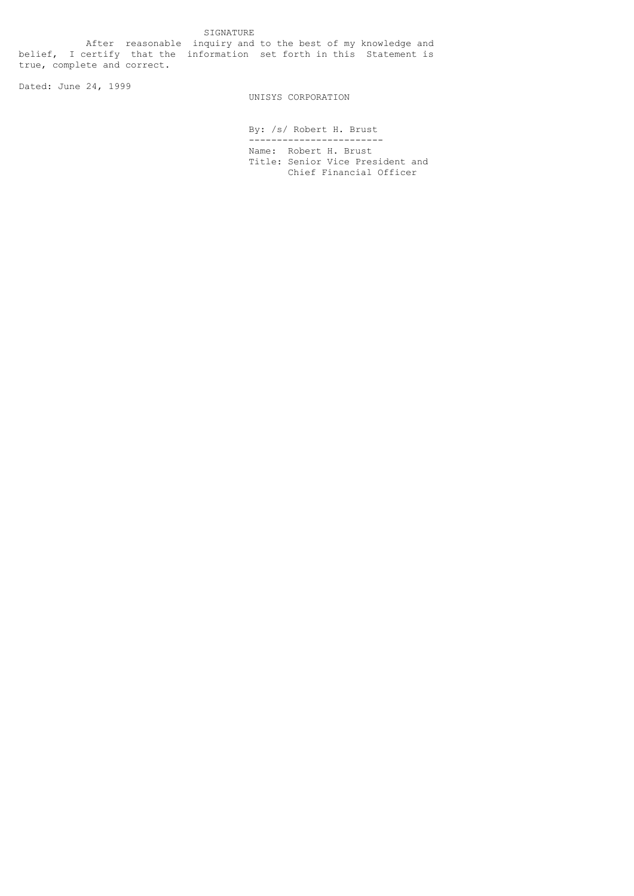SIGNATURE After reasonable inquiry and to the best of my knowledge and belief, I certify that the information set forth in this Statement is true, complete and correct.

Dated: June 24, 1999

## UNISYS CORPORATION

 By: /s/ Robert H. Brust ------------------------ Name: Robert H. Brust Title: Senior Vice President and Chief Financial Officer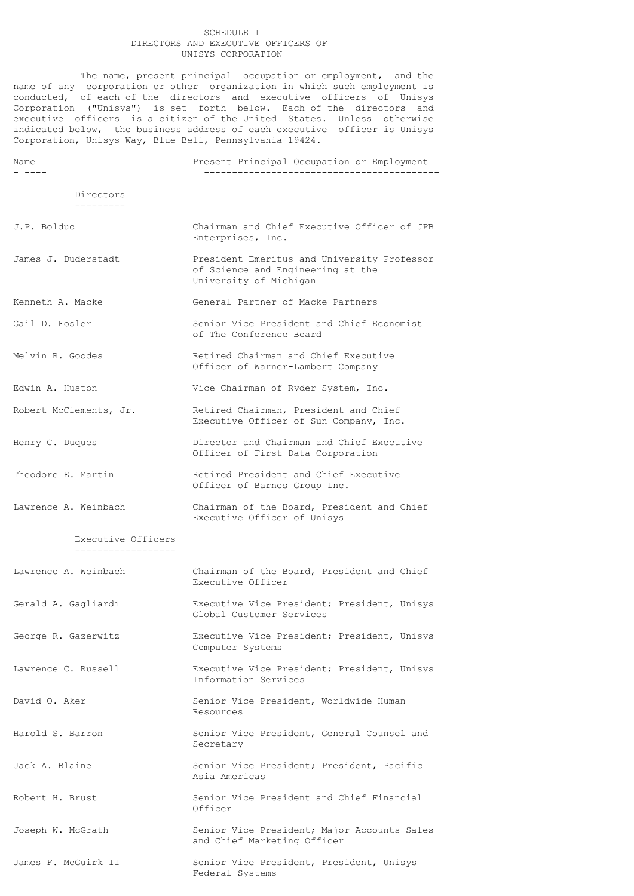## SCHEDULE I DIRECTORS AND EXECUTIVE OFFICERS OF UNISYS CORPORATION

The name, present principal occupation or employment, and the name of any corporation or other organization in which such employment is conducted, of each of the directors and executive officers of Unisys Corporation ("Unisys") is set forth below. Each of the directors and executive officers is a citizen of the United States. Unless otherwise indicated below, the business address of each executive officer is Unisys Corporation, Unisys Way, Blue Bell, Pennsylvania 19424.

| Name                                     | Present Principal Occupation or Employment                                                                 |
|------------------------------------------|------------------------------------------------------------------------------------------------------------|
| Directors<br>---------                   |                                                                                                            |
| J.P. Bolduc                              | Chairman and Chief Executive Officer of JPB<br>Enterprises, Inc.                                           |
| James J. Duderstadt                      | President Emeritus and University Professor<br>of Science and Engineering at the<br>University of Michigan |
| Kenneth A. Macke                         | General Partner of Macke Partners                                                                          |
| Gail D. Fosler                           | Senior Vice President and Chief Economist<br>of The Conference Board                                       |
| Melvin R. Goodes                         | Retired Chairman and Chief Executive<br>Officer of Warner-Lambert Company                                  |
| Edwin A. Huston                          | Vice Chairman of Ryder System, Inc.                                                                        |
| Robert McClements, Jr.                   | Retired Chairman, President and Chief<br>Executive Officer of Sun Company, Inc.                            |
| Henry C. Duques                          | Director and Chairman and Chief Executive<br>Officer of First Data Corporation                             |
| Theodore E. Martin                       | Retired President and Chief Executive<br>Officer of Barnes Group Inc.                                      |
| Lawrence A. Weinbach                     | Chairman of the Board, President and Chief<br>Executive Officer of Unisys                                  |
| Executive Officers<br>------------------ |                                                                                                            |
| Lawrence A. Weinbach                     | Chairman of the Board, President and Chief<br>Executive Officer                                            |
| Gerald A. Gagliardi                      | Executive Vice President; President, Unisys<br>Global Customer Services                                    |
| George R. Gazerwitz                      | Executive Vice President; President, Unisys<br>Computer Systems                                            |
| Lawrence C. Russell                      | Executive Vice President; President, Unisys<br>Information Services                                        |
| David O. Aker                            | Senior Vice President, Worldwide Human<br>Resources                                                        |
| Harold S. Barron                         | Senior Vice President, General Counsel and<br>Secretary                                                    |
| Jack A. Blaine                           | Senior Vice President; President, Pacific<br>Asia Americas                                                 |
| Robert H. Brust                          | Senior Vice President and Chief Financial<br>Officer                                                       |
| Joseph W. McGrath                        | Senior Vice President; Major Accounts Sales<br>and Chief Marketing Officer                                 |
| James F. McGuirk II                      | Senior Vice President, President, Unisys<br>Federal Systems                                                |